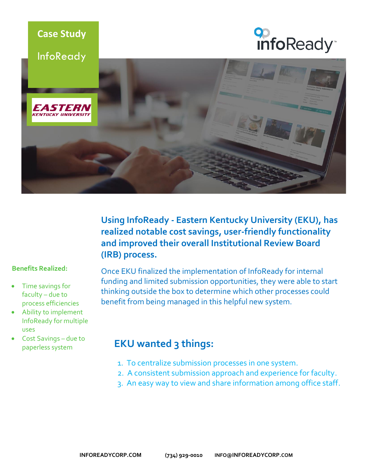





**Using InfoReady - [Eastern Kentucky University \(EKU\),](http://www.eku.edu/) has realized notable cost savings, user-friendly functionality and improved their overall Institutional Review Board (IRB) process.**

#### **Benefits Realized:**

- Time savings for faculty – due to process efficiencies
- Ability to implement InfoReady for multiple uses
- Cost Savings due to paperless system

Once EKU finalized the implementation of InfoReady for internal funding and limited submission opportunities, they were able to start thinking outside the box to determine which other processes could benefit from being managed in this helpful new system.

### **EKU wanted 3 things:**

- 1. To centralize submission processes in one system.
- 2. A consistent submission approach and experience for faculty.
- 3. An easy way to view and share information among office staff.